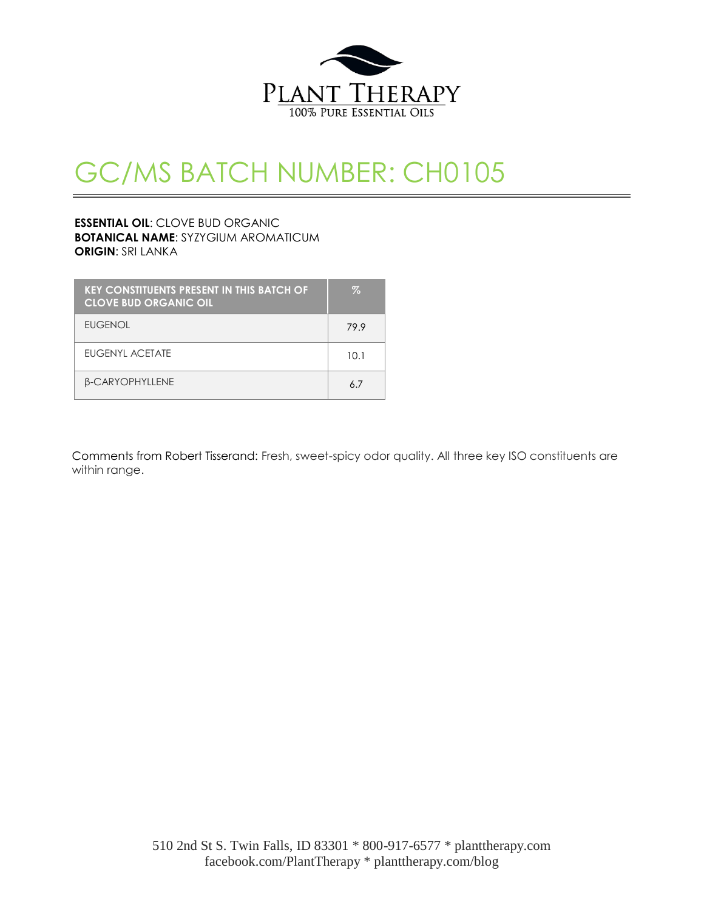

# GC/MS BATCH NUMBER: CH0105

#### **ESSENTIAL OIL**: CLOVE BUD ORGANIC **BOTANICAL NAME**: SYZYGIUM AROMATICUM **ORIGIN**: SRI LANKA

| <b>KEY CONSTITUENTS PRESENT IN THIS BATCH OF</b><br><b>CLOVE BUD ORGANIC OIL</b> | $\%$ |
|----------------------------------------------------------------------------------|------|
| <b>EUGENOL</b>                                                                   | 79.9 |
| EUGENYL ACETATE                                                                  | 10.1 |
| <b>B-CARYOPHYLLENE</b>                                                           | 67   |

Comments from Robert Tisserand: Fresh, sweet-spicy odor quality. All three key ISO constituents are within range.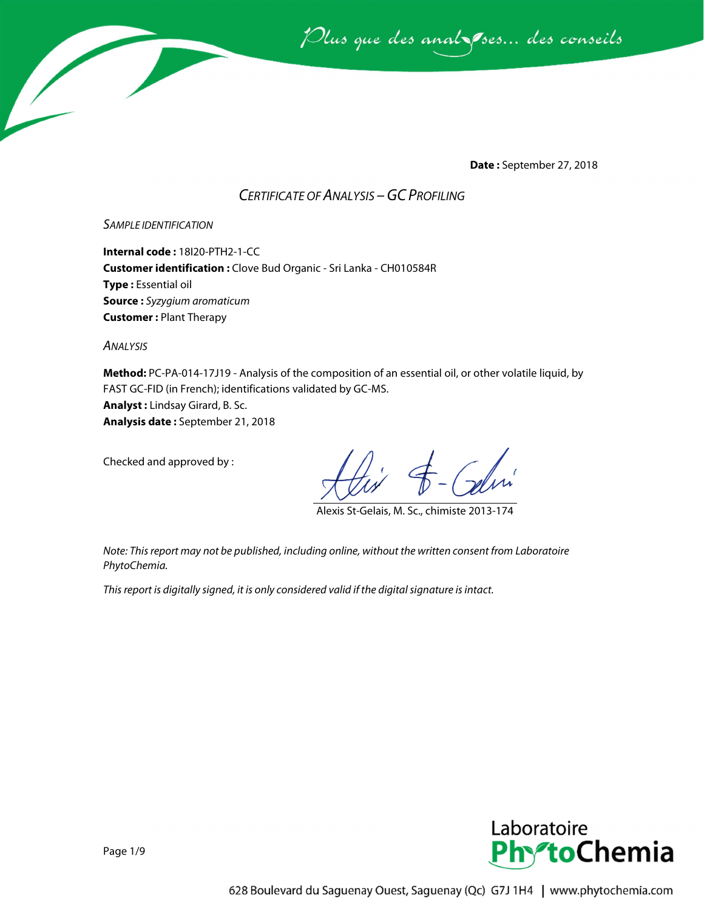Plus que des analzessus des conseils

**Date :** September 27, 2018

### *CERTIFICATE OF ANALYSIS –GC PROFILING*

#### *SAMPLE IDENTIFICATION*

**Internal code :** 18I20-PTH2-1-CC **Customer identification :** Clove Bud Organic - Sri Lanka - CH010584R **Type :** Essential oil **Source :** *Syzygium aromaticum* **Customer :** Plant Therapy

*ANALYSIS*

**Method:** PC-PA-014-17J19 - Analysis of the composition of an essential oil, or other volatile liquid, by FAST GC-FID (in French); identifications validated by GC-MS. **Analyst :** Lindsay Girard, B. Sc. **Analysis date :** September 21, 2018

Checked and approved by :

Alexis St-Gelais, M. Sc., chimiste 2013-174

*Note: This report may not be published, including online, without the written consent from Laboratoire PhytoChemia.*

*This report is digitally signed, it is only considered valid if the digital signature is intact.*

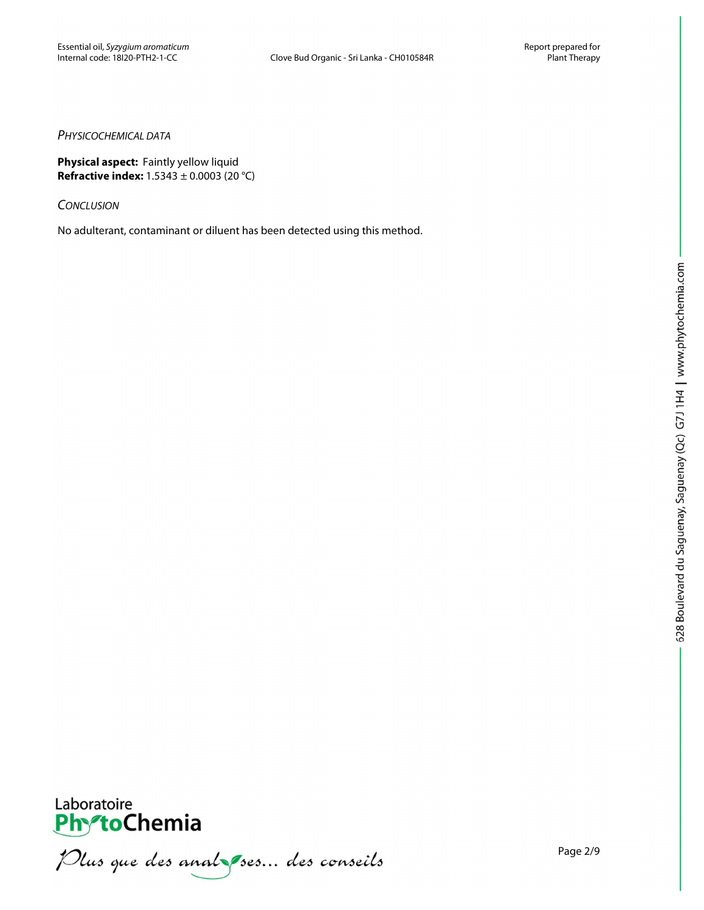#### *PHYSICOCHEMICAL DATA*

**Physical aspect:** Faintly yellow liquid **Refractive index:** 1.5343 ± 0.0003 (20 °C)

*CONCLUSION*

No adulterant, contaminant or diluent has been detected using this method.



PhytoChemia<br>PhytoChemia<br>*Plus que des analyses... des conseils*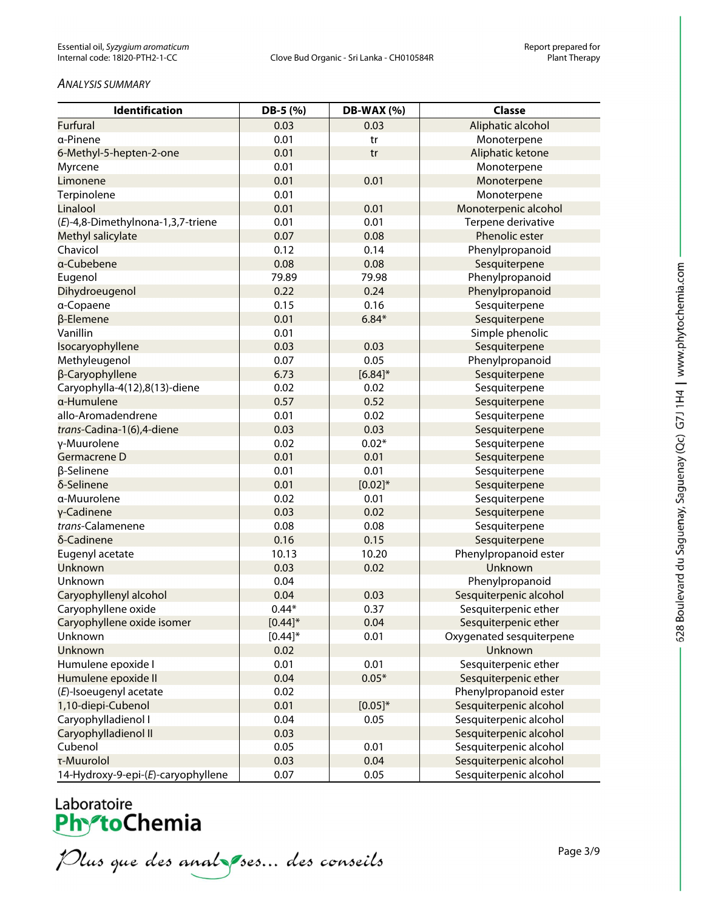#### *ANALYSIS SUMMARY*

| Identification                     | DB-5 (%)   | DB-WAX (%)   | <b>Classe</b>            |
|------------------------------------|------------|--------------|--------------------------|
| <b>Furfural</b>                    | 0.03       | 0.03         | Aliphatic alcohol        |
| α-Pinene                           | 0.01       | tr           | Monoterpene              |
| 6-Methyl-5-hepten-2-one            | 0.01       | tr           | Aliphatic ketone         |
| Myrcene                            | 0.01       |              | Monoterpene              |
| Limonene                           | 0.01       | 0.01         | Monoterpene              |
| Terpinolene                        | 0.01       |              | Monoterpene              |
| Linalool                           | 0.01       | 0.01         | Monoterpenic alcohol     |
| (E)-4,8-Dimethylnona-1,3,7-triene  | 0.01       | 0.01         | Terpene derivative       |
| Methyl salicylate                  | 0.07       | 0.08         | Phenolic ester           |
| Chavicol                           | 0.12       | 0.14         | Phenylpropanoid          |
| a-Cubebene                         | 0.08       | 0.08         | Sesquiterpene            |
| Eugenol                            | 79.89      | 79.98        | Phenylpropanoid          |
| Dihydroeugenol                     | 0.22       | 0.24         | Phenylpropanoid          |
| a-Copaene                          | 0.15       | 0.16         | Sesquiterpene            |
| β-Elemene                          | 0.01       | $6.84*$      | Sesquiterpene            |
| Vanillin                           | 0.01       |              | Simple phenolic          |
| Isocaryophyllene                   | 0.03       | 0.03         | Sesquiterpene            |
| Methyleugenol                      | 0.07       | 0.05         | Phenylpropanoid          |
| β-Caryophyllene                    | 6.73       | $[6.84]$ *   | Sesquiterpene            |
| Caryophylla-4(12),8(13)-diene      | 0.02       | 0.02         | Sesquiterpene            |
| a-Humulene                         | 0.57       | 0.52         | Sesquiterpene            |
| allo-Aromadendrene                 | 0.01       | 0.02         | Sesquiterpene            |
| trans-Cadina-1(6),4-diene          | 0.03       | 0.03         | Sesquiterpene            |
| γ-Muurolene                        | 0.02       | $0.02*$      | Sesquiterpene            |
| Germacrene D                       | 0.01       | 0.01         | Sesquiterpene            |
| β-Selinene                         | 0.01       | 0.01         | Sesquiterpene            |
| δ-Selinene                         | 0.01       | $[0.02]*$    | Sesquiterpene            |
| α-Muurolene                        | 0.02       | 0.01         | Sesquiterpene            |
| γ-Cadinene                         | 0.03       | 0.02         | Sesquiterpene            |
| trans-Calamenene                   | 0.08       | 0.08         | Sesquiterpene            |
| δ-Cadinene                         | 0.16       | 0.15         | Sesquiterpene            |
| Eugenyl acetate                    | 10.13      | 10.20        | Phenylpropanoid ester    |
| Unknown                            | 0.03       | 0.02         | Unknown                  |
| Unknown                            | 0.04       |              | Phenylpropanoid          |
| Caryophyllenyl alcohol             | 0.04       | 0.03         | Sesquiterpenic alcohol   |
| Caryophyllene oxide                | $0.44*$    | 0.37         | Sesquiterpenic ether     |
| Caryophyllene oxide isomer         | $[0.44]$ * | 0.04         | Sesquiterpenic ether     |
| Unknown                            | $[0.44]$ * | 0.01         | Oxygenated sesquiterpene |
| Unknown                            | 0.02       |              | Unknown                  |
| Humulene epoxide I                 | 0.01       | 0.01         | Sesquiterpenic ether     |
| Humulene epoxide II                | 0.04       | $0.05*$      | Sesquiterpenic ether     |
| (E)-Isoeugenyl acetate             | 0.02       |              | Phenylpropanoid ester    |
| 1,10-diepi-Cubenol                 | 0.01       | $[0.05]^{*}$ | Sesquiterpenic alcohol   |
| Caryophylladienol I                | 0.04       | 0.05         | Sesquiterpenic alcohol   |
| Caryophylladienol II               | 0.03       |              | Sesquiterpenic alcohol   |
| Cubenol                            | 0.05       | 0.01         | Sesquiterpenic alcohol   |
| τ-Muurolol                         | 0.03       | 0.04         | Sesquiterpenic alcohol   |
| 14-Hydroxy-9-epi-(E)-caryophyllene | 0.07       | 0.05         | Sesquiterpenic alcohol   |

Laboratoire<br>PhytoChemia<br>*Plus que des analyses*... *des conseils*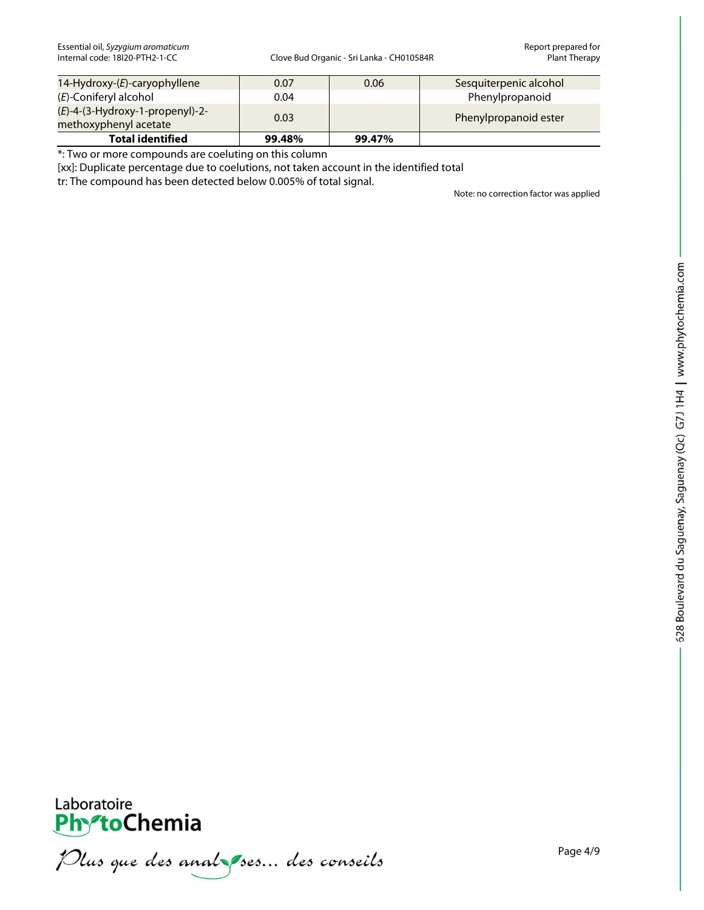| $14$ -Hydroxy- $(E)$ -caryophyllene                         | 0.07   | 0.06   | Sesquiterpenic alcohol |
|-------------------------------------------------------------|--------|--------|------------------------|
| (E)-Coniferyl alcohol                                       | 0.04   |        | Phenylpropanoid        |
| $(E)$ -4-(3-Hydroxy-1-propenyl)-2-<br>methoxyphenyl acetate | 0.03   |        | Phenylpropanoid ester  |
| <b>Total identified</b>                                     | 99.48% | 99.47% |                        |

\*: Two or more compounds are coeluting on this column

[xx]: Duplicate percentage due to coelutions, not taken account in the identified total

tr: The compound has been detected below 0.005% of total signal.

Note: no correction factor was applied



PhytoChemia<br>PhytoChemia<br>*Plus que des analyses... des conseils*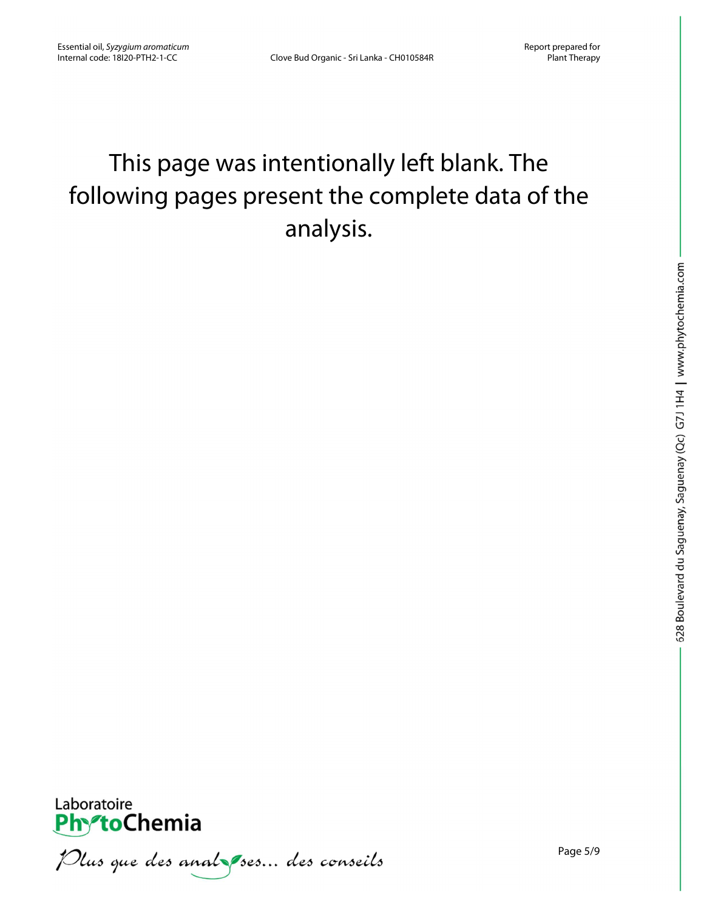## This page was intentionally left blank. The following pages present the complete data of the analysis.



Plus que des analzes... des conseils

Page 5/9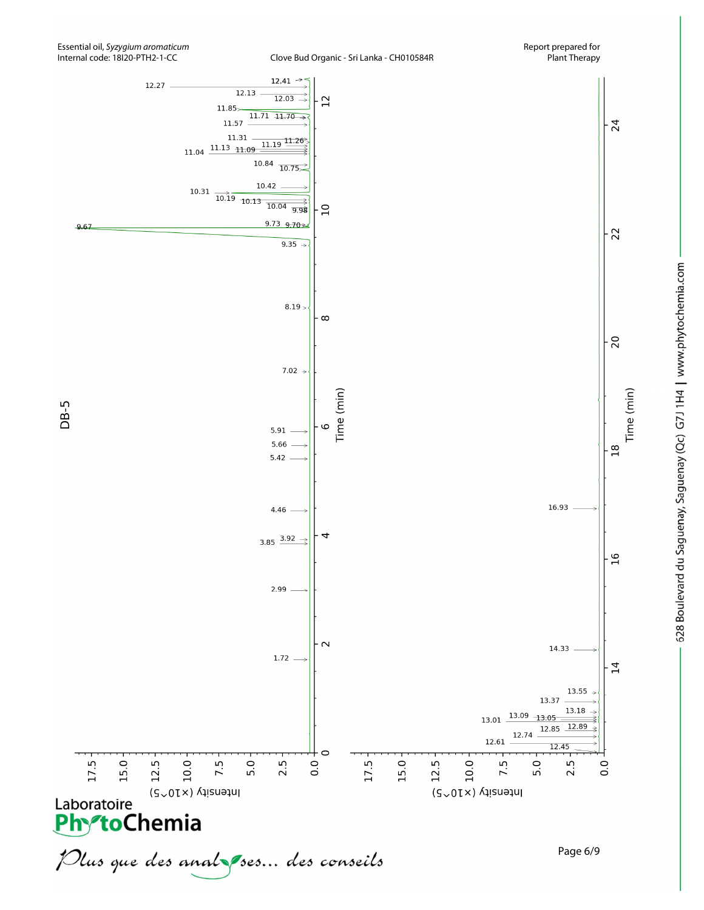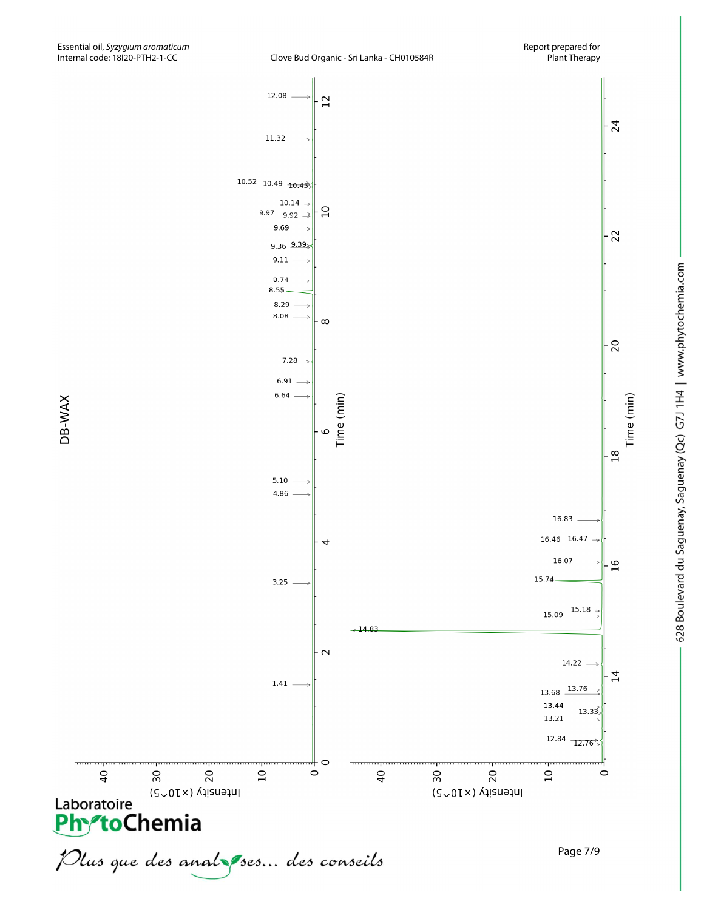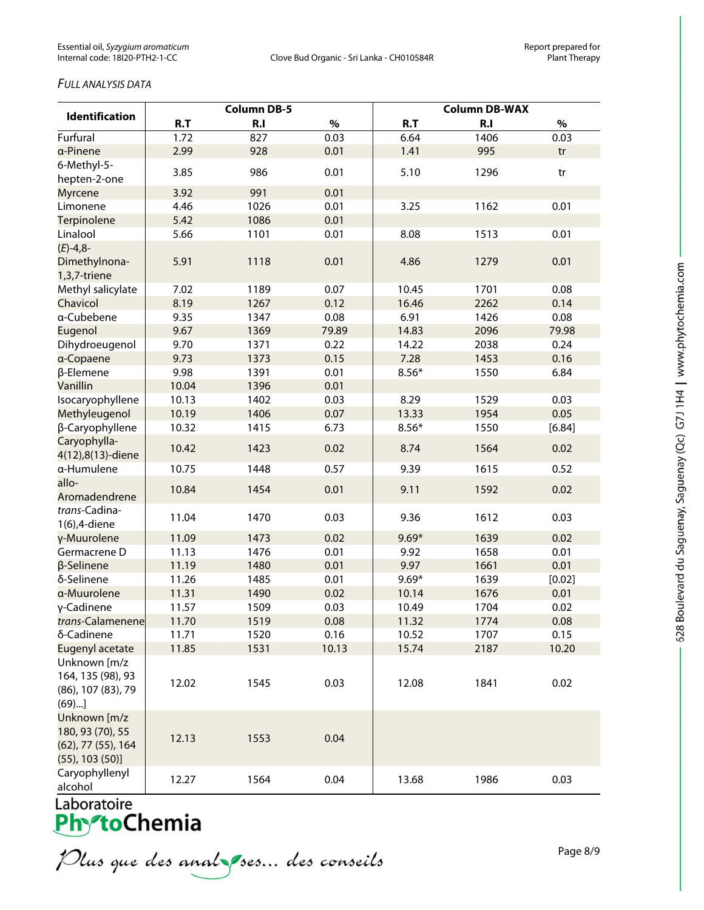#### *FULL ANALYSIS DATA*

| <b>Identification</b>        | <b>Column DB-5</b> |      |       | <b>Column DB-WAX</b> |      |        |
|------------------------------|--------------------|------|-------|----------------------|------|--------|
|                              | R.T                | R.I  | $\%$  | R.T                  | R.I  | $\%$   |
| Furfural                     | 1.72               | 827  | 0.03  | 6.64                 | 1406 | 0.03   |
| a-Pinene                     | 2.99               | 928  | 0.01  | 1.41                 | 995  | tr     |
| 6-Methyl-5-                  | 3.85               | 986  | 0.01  | 5.10                 | 1296 |        |
| hepten-2-one                 |                    |      |       |                      |      | tr     |
| <b>Myrcene</b>               | 3.92               | 991  | 0.01  |                      |      |        |
| Limonene                     | 4.46               | 1026 | 0.01  | 3.25                 | 1162 | 0.01   |
| Terpinolene                  | 5.42               | 1086 | 0.01  |                      |      |        |
| Linalool                     | 5.66               | 1101 | 0.01  | 8.08                 | 1513 | 0.01   |
| $(E) - 4,8$<br>Dimethylnona- | 5.91               | 1118 | 0.01  | 4.86                 | 1279 | 0.01   |
| 1,3,7-triene                 |                    |      |       |                      |      |        |
| Methyl salicylate            | 7.02               | 1189 | 0.07  | 10.45                | 1701 | 0.08   |
| Chavicol                     | 8.19               | 1267 | 0.12  | 16.46                | 2262 | 0.14   |
| a-Cubebene                   | 9.35               | 1347 | 0.08  | 6.91                 | 1426 | 0.08   |
| Eugenol                      | 9.67               | 1369 | 79.89 | 14.83                | 2096 | 79.98  |
| Dihydroeugenol               | 9.70               | 1371 | 0.22  | 14.22                | 2038 | 0.24   |
| a-Copaene                    | 9.73               | 1373 | 0.15  | 7.28                 | 1453 | 0.16   |
| β-Elemene                    | 9.98               | 1391 | 0.01  | $8.56*$              | 1550 | 6.84   |
| Vanillin                     | 10.04              | 1396 | 0.01  |                      |      |        |
| Isocaryophyllene             | 10.13              | 1402 | 0.03  | 8.29                 | 1529 | 0.03   |
| Methyleugenol                | 10.19              | 1406 | 0.07  | 13.33                | 1954 | 0.05   |
| β-Caryophyllene              | 10.32              | 1415 | 6.73  | $8.56*$              | 1550 | [6.84] |
| Caryophylla-                 | 10.42              | 1423 | 0.02  | 8.74                 | 1564 | 0.02   |
| 4(12),8(13)-diene            |                    |      |       |                      |      |        |
| α-Humulene                   | 10.75              | 1448 | 0.57  | 9.39                 | 1615 | 0.52   |
| allo-                        | 10.84              | 1454 | 0.01  | 9.11                 | 1592 | 0.02   |
| Aromadendrene                |                    |      |       |                      |      |        |
| trans-Cadina-                | 11.04              | 1470 | 0.03  | 9.36                 | 1612 | 0.03   |
| 1(6),4-diene                 |                    |      |       |                      |      |        |
| y-Muurolene                  | 11.09              | 1473 | 0.02  | $9.69*$              | 1639 | 0.02   |
| Germacrene D                 | 11.13              | 1476 | 0.01  | 9.92                 | 1658 | 0.01   |
| β-Selinene                   | 11.19              | 1480 | 0.01  | 9.97                 | 1661 | 0.01   |
| δ-Selinene                   | 11.26              | 1485 | 0.01  | $9.69*$              | 1639 | [0.02] |
| a-Muurolene                  | 11.31              | 1490 | 0.02  | 10.14                | 1676 | 0.01   |
| γ-Cadinene                   | 11.57              | 1509 | 0.03  | 10.49                | 1704 | 0.02   |
| trans-Calamenene             | 11.70              | 1519 | 0.08  | 11.32                | 1774 | 0.08   |
| δ-Cadinene                   | 11.71              | 1520 | 0.16  | 10.52                | 1707 | 0.15   |
| Eugenyl acetate              | 11.85              | 1531 | 10.13 | 15.74                | 2187 | 10.20  |
| Unknown [m/z                 |                    |      |       |                      |      |        |
| 164, 135 (98), 93            | 12.02              | 1545 | 0.03  | 12.08                | 1841 | 0.02   |
| (86), 107 (83), 79           |                    |      |       |                      |      |        |
| (69)                         |                    |      |       |                      |      |        |
| Unknown [m/z                 |                    |      |       |                      |      |        |
| 180, 93 (70), 55             | 12.13              | 1553 | 0.04  |                      |      |        |
| (62), 77 (55), 164           |                    |      |       |                      |      |        |
| $(55)$ , 103 $(50)$ ]        |                    |      |       |                      |      |        |
| Caryophyllenyl               | 12.27              | 1564 | 0.04  | 13.68                | 1986 | 0.03   |
| alcohol                      |                    |      |       |                      |      |        |

Plus que des analzes... des conseils